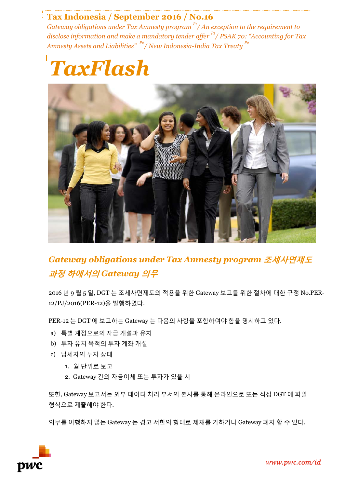# **Tax Indonesia / September 2016 / No.16**

*Gateway obligations under Tax Amnesty program P1/ An exception to the requirement to disclose information and make a mandatory tender offer P1 / PSAK 70: "Accounting for Tax Amnesty Assets and Liabilities" P2 / New Indonesia-India Tax Treaty P2*





*Gateway obligations under Tax Amnesty program* **조세사면제도 과정 하에서의** *Gateway* **의무**

2016 년 9 월 5 일, DGT 는 조세사면제도의 적용을 위한 Gateway 보고를 위한 절차에 대한 규정 No.PER-12/PJ/2016(PER-12)을 발행하였다.

PER-12 는 DGT 에 보고하는 Gateway 는 다음의 사항을 포함하여야 함을 명시하고 있다.

- a) 특별 계정으로의 자금 개설과 유치
- b) 투자 유치 목적의 투자 계좌 개설
- c) 납세자의 투자 상태
	- 1. 월 단위로 보고
	- 2. Gateway 간의 자금이체 또는 투자가 있을 시

또한, Gateway 보고서는 외부 데이터 처리 부서의 본사를 통해 온라인으로 또는 직접 DGT 에 파일 형식으로 제출해야 한다.

의무를 이행하지 않는 Gateway 는 경고 서한의 형태로 제재를 가하거나 Gateway 폐지 할 수 있다.

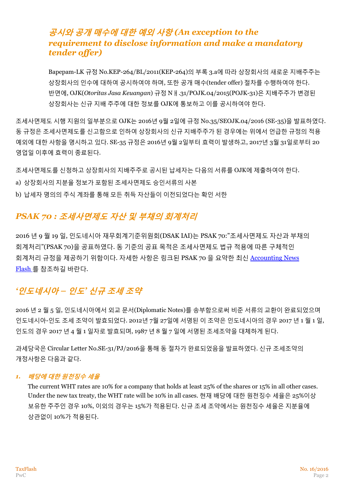# **공시와 공개 매수에 대한 예외 사항** *(An exception to the requirement to disclose information and make a mandatory tender offer)*

Bapepam-LK 규정 No.KEP-264/BL/2011(KEP-264)의 부록 3.a에 따라 상장회사의 새로운 지배주주는 상장회사의 인수에 대하여 공시하여야 하며, 또한 공개 매수(tender offer) 절차를 수행하여야 한다. 반면에, OJK(*Otoritas Jasa Keuangan*) 규정 Nㅐ.31/POJK.04/2015(POJK-31)은 지배주주가 변경된 상장회사는 신규 지배 주주에 대한 정보를 OJK에 통보하고 이를 공시하여야 한다.

조세사면제도 시행 지원의 일부분으로 OJK는 2016년 9월 2일에 규정 No.35/SEOJK.04/2016 (SE-35)을 발표하였다. 동 규정은 조세사면제도를 신고함으로 인하여 상장회사의 신규 지배주주가 된 경우에는 위에서 언급한 규정의 적용 예외에 대한 사항을 명시하고 있다. SE-35 규정은 2016년 9월 2일부터 효력이 발생하고, 2017년 3월 31일로부터 20 영업일 이후에 효력이 종료된다.

조세사면제도를 신청하고 상장회사의 지배주주로 공시된 납세자는 다음의 서류를 OJK에 제출하여야 한다.

- a) 상장회사의 지분율 정보가 포함된 조세사면제도 승인서류의 사본
- b) 납세자 명의의 주식 계좌를 통해 모든 취득 자산들이 이전되었다는 확인 서한

# *PSAK 70 :* **조세사면제도 자산 및 부채의 회계처리**

2016 년 9 월 19 일, 인도네시아 재무회계기준위원회(DSAK IAI)는 PSAK 70:"조세사면제도 자산과 부채의 회계처리"(PSAK 70)을 공표하였다. 동 기준의 공표 목적은 조세사면제도 법규 적용에 따른 구체적인 회계처리 규정을 제공하기 위함이다. 자세한 사항은 링크된 PSAK 70 을 요약한 최신 [Accounting News](http://www.pwc.com/id/en/assurance-newsflash/assets/accounting-newsflash-2016-tax-amnesty.pdf)  [Flash](http://www.pwc.com/id/en/assurance-newsflash/assets/accounting-newsflash-2016-tax-amnesty.pdf) 를 참조하길 바란다.

# *'***인도네시아** *–* **인도***'* **신규 조세 조약**

2016 년 2 월 5 일, 인도네시아에서 외교 문서(Diplomatic Notes)를 송부함으로써 비준 서류의 교환이 완료되었으며 인도네시아-인도 조세 조약이 발효되었다. 2012년 7월 27일에 서명된 이 조약은 인도네시아의 경우 2017 년 1 월 1 일, 인도의 경우 2017 년 4 월 1 일자로 발효되며, 1987 년 8 월 7 일에 서명된 조세조약을 대체하게 된다.

과세당국은 Circular Letter No.SE-31/PJ/2016을 통해 동 절차가 완료되었음을 발표하였다. 신규 조세조약의 개정사항은 다음과 같다.

### *1.* **배당에 대한 원천징수 세율**

The current WHT rates are 10% for a company that holds at least 25% of the shares or 15% in all other cases. Under the new tax treaty, the WHT rate will be 10% in all cases. 현재 배당에 대한 원천징수 세율은 25%이상 보유한 주주인 경우 10%, 이외의 경우는 15%가 적용된다. 신규 조세 조약에서는 원천징수 세율은 지분율에 상관없이 10%가 적용된다.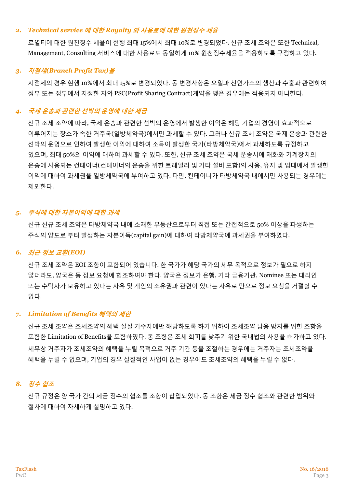#### *2. Technical service* **에 대한** *Royalty* **와 사용료에 대한 원천징수 세율**

로열티에 대한 원친징수 세율이 현행 최대 15%에서 최대 10%로 변경되었다. 신규 조세 조약은 또한 Technical, Management, Consulting 서비스에 대한 사용료도 동일하게 10% 원천징수세율을 적용하도록 규정하고 있다.

#### *3.* **지점세***(Branch Profit Tax)***율**

지점세의 경우 현행 10%에서 최대 15%로 변경되었다. 동 변경사항은 오일과 천연가스의 생산과 수출과 관련하여 정부 또는 정부에서 지정한 자와 PSC(Profit Sharing Contract)계약을 맺은 경우에는 적용되지 아니한다.

## *4.* **국제 운송과 관련한 선박의 운영에 대한 세금**

신규 조세 조약에 따라, 국제 운송과 관련한 선박의 운영에서 발생한 이익은 해당 기업의 경영이 효과적으로 이루어지는 장소가 속한 거주국(일방체약국)에서만 과세할 수 있다. 그러나 신규 조세 조약은 국제 운송과 관련한 선박의 운영으로 인하여 발생한 이익에 대하여 소득이 발생한 국가(타방체약국)에서 과세하도록 규정하고 있으며, 최대 50%의 이익에 대하여 과세할 수 있다. 또한, 신규 조세 조약은 국세 운송시에 재화와 기계장치의 운송에 사용되는 컨테이너(컨테이너의 운송을 위한 트레일러 및 기타 설비 포함)의 사용, 유지 및 임대에서 발생한 이익에 대하여 과세권을 일방체약국에 부여하고 있다. 다만, 컨테이너가 타방체약국 내에서만 사용되는 경우에는 제외한다.

### *5.* **주식에 대한 자본이익에 대한 과세**

신규 신규 조세 조약은 타방체약국 내에 소재한 부동산으로부터 직접 또는 간접적으로 50% 이상을 파생하는 주식의 양도로 부터 발생하는 자본이득(capital gain)에 대하여 타방체약국에 과세권을 부여하였다.

### *6.* **최근 정보 교환***(EOI)*

신규 조세 조약은 EOI 조항이 포함되어 있습니다. 한 국가가 해당 국가의 세무 목적으로 정보가 필요로 하지 않더라도, 양국은 동 정보 요청에 협조하여야 한다. 양국은 정보가 은행, 기타 금융기관, Nominee 또는 대리인 또는 수탁자가 보유하고 있다는 사유 및 개인의 소유권과 관련이 있다는 사유로 만으로 정보 요청을 거절할 수 없다.

### *7. Limitation of Benefits* **혜택의 제한**

신규 조세 조약은 조세조약의 혜택 실질 거주자에만 해당하도록 하기 위하여 조세조약 남용 방지를 위한 조항을 포함한 Limitation of Benefits을 포함하였다. 동 조항은 조세 회피를 낮추기 위한 국내법의 사용을 허가하고 있다. 세무상 거주자가 조세조약의 혜택을 누릴 목적으로 거주 기간 등을 조절하는 경우에는 거주자는 조세조약을 혜택을 누릴 수 없으며, 기업의 경우 실질적인 사업이 없는 경우에도 조세조약의 혜택을 누릴 수 없다.

### *8.* **징수 협조**

신규 규정은 양 국가 간의 세금 징수의 협조를 조항이 삽입되었다. 동 조항은 세금 징수 협조와 관련한 범위와 절차에 대하여 자세하게 설명하고 있다.